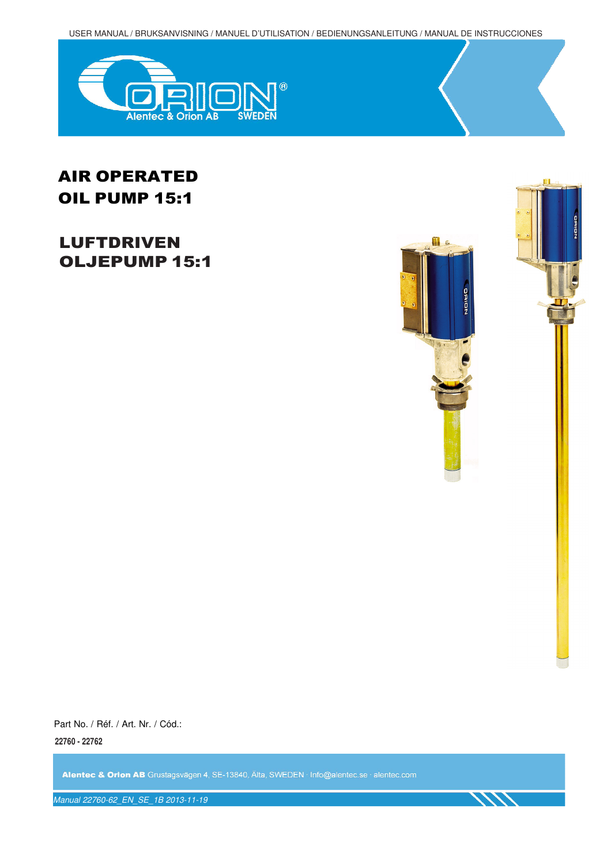USER MANUAL / BRUKSANVISNING / MANUEL D'UTILISATION / BEDIENUNGSANLEITUNG / MANUAL DE INSTRUCCIONES



# AIR OPERATED OIL PUMP 15:1

# LUFTDRIVEN OLJEPUMP 15:1





Part No. / Réf. / Art. Nr. / Cód.: **22760 - 22762**

Alentec & Orion AB Grustagsvägen 4, SE-13840, Älta, SWEDEN · Info@alentec.se · alentec.com

Manual 22760-62\_EN\_SE\_1B 2013-11-19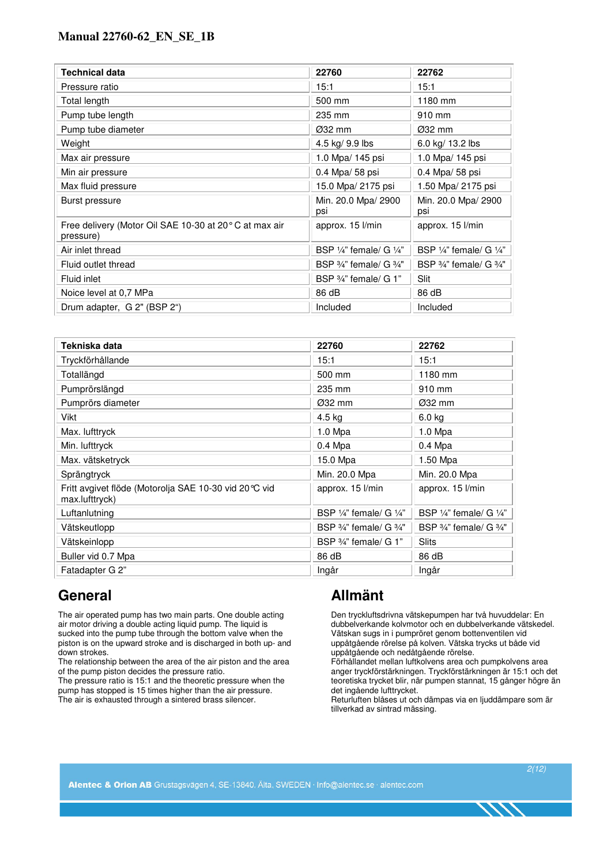| <b>Technical data</b>                                              | 22760                                         | 22762                                         |
|--------------------------------------------------------------------|-----------------------------------------------|-----------------------------------------------|
| Pressure ratio                                                     | 15:1                                          | 15:1                                          |
| Total length                                                       | 500 mm                                        | 1180 mm                                       |
| Pump tube length                                                   | 235 mm                                        | 910 mm                                        |
| Pump tube diameter                                                 | $Ø32$ mm                                      | Ø32 mm                                        |
| Weight                                                             | 4.5 kg/ 9.9 lbs                               | 6.0 kg/ 13.2 lbs                              |
| Max air pressure                                                   | 1.0 Mpa/ 145 psi                              | 1.0 Mpa/ 145 psi                              |
| Min air pressure                                                   | 0.4 Mpa/ 58 psi                               | 0.4 Mpa/ 58 psi                               |
| Max fluid pressure                                                 | 15.0 Mpa/ 2175 psi                            | 1.50 Mpa/ 2175 psi                            |
| Burst pressure                                                     | Min. 20.0 Mpa/ 2900<br>psi                    | Min. 20.0 Mpa/ 2900<br>psi                    |
| Free delivery (Motor Oil SAE 10-30 at 20°C at max air<br>pressure) | approx. 15 l/min                              | approx. 15 l/min                              |
| Air inlet thread                                                   | BSP $\frac{1}{4}$ " female/ G $\frac{1}{4}$ " | BSP 1/4" female/ G 1/4"                       |
| Fluid outlet thread                                                | BSP $\frac{3}{4}$ " female/ G $\frac{3}{4}$ " | BSP $\frac{3}{4}$ " female/ G $\frac{3}{4}$ " |
| Fluid inlet                                                        | BSP $\frac{3}{4}$ " female/ G 1"              | Slit                                          |
| Noice level at 0,7 MPa                                             | 86 dB                                         | 86 dB                                         |
| Drum adapter, G 2" (BSP 2")                                        | Included                                      | Included                                      |

| Tekniska data                                                           | 22760                                         | 22762                                         |
|-------------------------------------------------------------------------|-----------------------------------------------|-----------------------------------------------|
| Tryckförhållande                                                        | 15:1                                          | 15:1                                          |
| Totallängd                                                              | 500 mm                                        | 1180 mm                                       |
| Pumprörslängd                                                           | 235 mm                                        | 910 mm                                        |
| Pumprörs diameter                                                       | Ø32 mm                                        | $\varnothing$ 32 mm                           |
| Vikt                                                                    | 4.5 kg                                        | $6.0$ kg                                      |
| Max. lufttryck                                                          | $1.0$ Mpa                                     | $1.0$ Mpa                                     |
| Min. lufttryck                                                          | $0.4$ Mpa                                     | $0.4$ Mpa                                     |
| Max. vätsketryck                                                        | 15.0 Mpa                                      | 1.50 Mpa                                      |
| Sprängtryck                                                             | Min. 20.0 Mpa                                 | Min. 20.0 Mpa                                 |
| Fritt avgivet flöde (Motorolja SAE 10-30 vid 20°C vid<br>max.lufttryck) | approx. 15 l/min                              | approx. 15 l/min                              |
| Luftanlutning                                                           | BSP $\frac{1}{4}$ " female/ G $\frac{1}{4}$ " | BSP $\frac{1}{4}$ " female/ G $\frac{1}{4}$ " |
| Vätskeutlopp                                                            | BSP $\frac{3}{4}$ " female/ G $\frac{3}{4}$ " | BSP $\frac{3}{4}$ " female/ G $\frac{3}{4}$ " |
| Vätskeinlopp                                                            | BSP 3/4" female/ G 1"                         | <b>Slits</b>                                  |
| Buller vid 0.7 Mpa                                                      | 86 dB                                         | 86 dB                                         |
| Fatadapter G 2"                                                         | Ingår                                         | Ingår                                         |

## **General**

The air operated pump has two main parts. One double acting air motor driving a double acting liquid pump. The liquid is sucked into the pump tube through the bottom valve when the piston is on the upward stroke and is discharged in both up- and down strokes.

The relationship between the area of the air piston and the area of the pump piston decides the pressure ratio.

The pressure ratio is 15:1 and the theoretic pressure when the pump has stopped is 15 times higher than the air pressure. The air is exhausted through a sintered brass silencer.

## **Allmänt**

Den tryckluftsdrivna vätskepumpen har två huvuddelar: En dubbelverkande kolvmotor och en dubbelverkande vätskedel. Vätskan sugs in i pumpröret genom bottenventilen vid uppåtgående rörelse på kolven. Vätska trycks ut både vid uppåtgående och nedåtgående rörelse.

Förhållandet mellan luftkolvens area och pumpkolvens area anger tryckförstärkningen. Tryckförstärkningen är 15:1 och det teoretiska trycket blir, när pumpen stannat, 15 gånger högre än det ingående lufttrycket.

Returluften blåses ut och dämpas via en ljuddämpare som är tillverkad av sintrad mässing.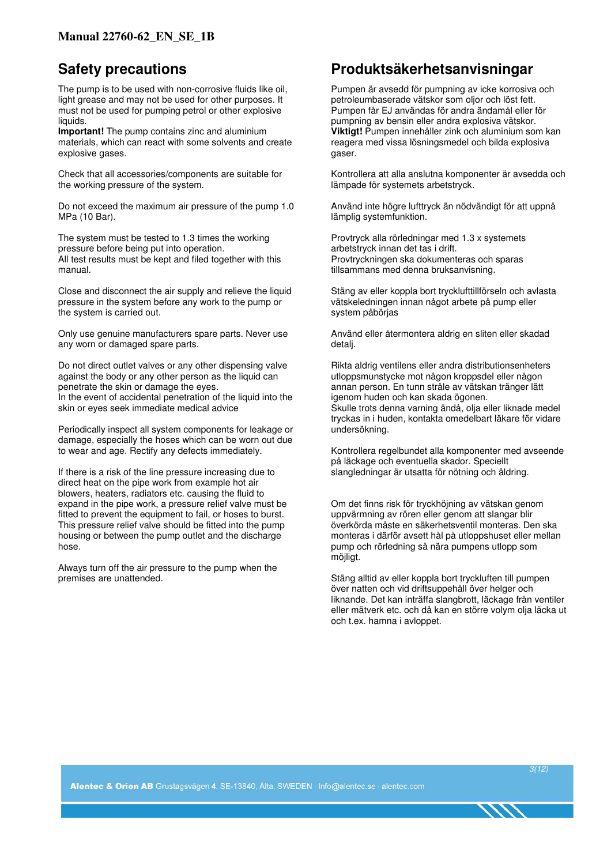## **Safety precautions**

The pump is to be used with non-corrosive fluids like oil, light grease and may not be used for other purposes. It must not be used for pumping petrol or other explosive liquids.

**Important!** The pump contains zinc and aluminium materials, which can react with some solvents and create explosive gases.

Check that all accessories/components are suitable for the working pressure of the system.

Do not exceed the maximum air pressure of the pump 1.0 MPa (10 Bar).

The system must be tested to 1.3 times the working pressure before being put into operation. All test results must be kept and filed together with this manual.

Close and disconnect the air supply and relieve the liquid pressure in the system before any work to the pump or the system is carried out.

Only use genuine manufacturers spare parts. Never use any worn or damaged spare parts.

Do not direct outlet valves or any other dispensing valve against the body or any other person as the liquid can penetrate the skin or damage the eyes. In the event of accidental penetration of the liquid into the skin or eyes seek immediate medical advice

Periodically inspect all system components for leakage or damage, especially the hoses which can be worn out due to wear and age. Rectify any defects immediately.

If there is a risk of the line pressure increasing due to direct heat on the pipe work from example hot air blowers, heaters, radiators etc. causing the fluid to expand in the pipe work, a pressure relief valve must be fitted to prevent the equipment to fail, or hoses to burst. This pressure relief valve should be fitted into the pump housing or between the pump outlet and the discharge hose.

Always turn off the air pressure to the pump when the premises are unattended.

## **Produktsäkerhetsanvisningar**

Pumpen är avsedd för pumpning av icke korrosiva och petroleumbaserade vätskor som oljor och löst fett. Pumpen får EJ användas för andra ändamål eller för pumpning av bensin eller andra explosiva vätskor. **Viktigt!** Pumpen innehåller zink och aluminium som kan reagera med vissa lösningsmedel och bilda explosiva gaser.

Kontrollera att alla anslutna komponenter är avsedda och lämpade för systemets arbetstryck.

Använd inte högre lufttryck än nödvändigt för att uppnå lämplig systemfunktion.

Provtryck alla rörledningar med 1.3 x systemets arbetstryck innan det tas i drift. Provtryckningen ska dokumenteras och sparas tillsammans med denna bruksanvisning.

Stäng av eller koppla bort trycklufttillförseln och avlasta vätskeledningen innan något arbete på pump eller system påbörjas

Använd eller återmontera aldrig en sliten eller skadad detalj.

Rikta aldrig ventilens eller andra distributionsenheters utloppsmunstycke mot någon kroppsdel eller någon annan person. En tunn stråle av vätskan tränger lätt igenom huden och kan skada ögonen. Skulle trots denna varning ändå, olja eller liknade medel tryckas in i huden, kontakta omedelbart läkare för vidare undersökning.

Kontrollera regelbundet alla komponenter med avseende på läckage och eventuella skador. Speciellt slangledningar är utsatta för nötning och åldring.

Om det finns risk för tryckhöjning av vätskan genom uppvärmning av rören eller genom att slangar blir överkörda måste en säkerhetsventil monteras. Den ska monteras i därför avsett hål på utloppshuset eller mellan pump och rörledning så nära pumpens utlopp som möjligt.

Stäng alltid av eller koppla bort tryckluften till pumpen över natten och vid driftsuppehåll över helger och liknande. Det kan inträffa slangbrott, läckage från ventiler eller mätverk etc. och då kan en större volym olja läcka ut och t.ex. hamna i avloppet.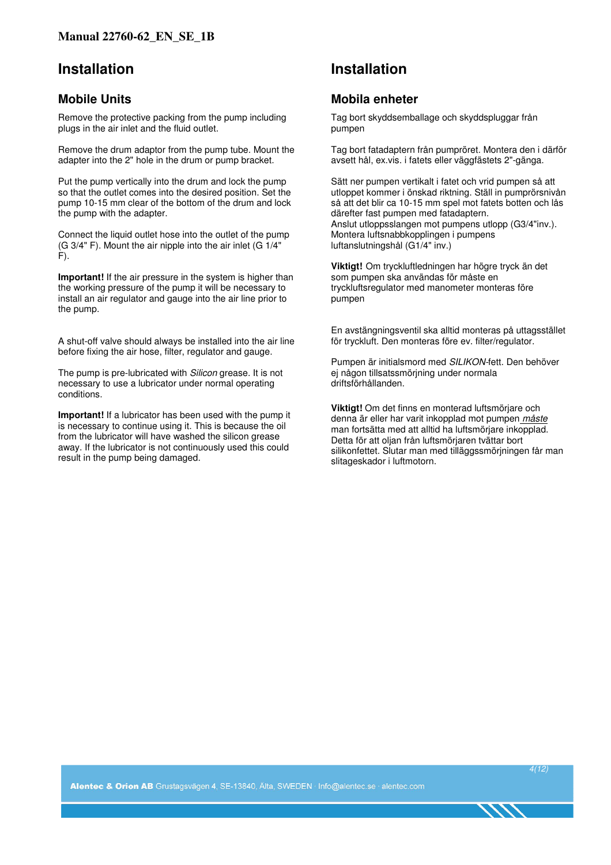## **Installation**

## **Mobile Units**

Remove the protective packing from the pump including plugs in the air inlet and the fluid outlet.

Remove the drum adaptor from the pump tube. Mount the adapter into the 2" hole in the drum or pump bracket.

Put the pump vertically into the drum and lock the pump so that the outlet comes into the desired position. Set the pump 10-15 mm clear of the bottom of the drum and lock the pump with the adapter.

Connect the liquid outlet hose into the outlet of the pump (G 3/4" F). Mount the air nipple into the air inlet (G 1/4"  $F$ ).

**Important!** If the air pressure in the system is higher than the working pressure of the pump it will be necessary to install an air regulator and gauge into the air line prior to the pump.

A shut-off valve should always be installed into the air line before fixing the air hose, filter, regulator and gauge.

The pump is pre-lubricated with *Silicon* grease. It is not necessary to use a lubricator under normal operating conditions.

**Important!** If a lubricator has been used with the pump it is necessary to continue using it. This is because the oil from the lubricator will have washed the silicon grease away. If the lubricator is not continuously used this could result in the pump being damaged.

## **Installation**

### **Mobila enheter**

Tag bort skyddsemballage och skyddspluggar från pumpen

Tag bort fatadaptern från pumpröret. Montera den i därför avsett hål, ex.vis. i fatets eller väggfästets 2"-gänga.

Sätt ner pumpen vertikalt i fatet och vrid pumpen så att utloppet kommer i önskad riktning. Ställ in pumprörsnivån så att det blir ca 10-15 mm spel mot fatets botten och lås därefter fast pumpen med fatadaptern. Anslut utloppsslangen mot pumpens utlopp (G3/4"inv.). Montera luftsnabbkopplingen i pumpens luftanslutningshål (G1/4" inv.)

**Viktigt!** Om tryckluftledningen har högre tryck än det som pumpen ska användas för måste en tryckluftsregulator med manometer monteras före pumpen

En avstängningsventil ska alltid monteras på uttagsstället för tryckluft. Den monteras före ev. filter/regulator.

Pumpen är initialsmord med SILIKON-fett. Den behöver ej någon tillsatssmörjning under normala driftsförhållanden.

**Viktigt!** Om det finns en monterad luftsmörjare och denna är eller har varit inkopplad mot pumpen måste man fortsätta med att alltid ha luftsmörjare inkopplad. Detta för att oljan från luftsmörjaren tvättar bort silikonfettet. Slutar man med tilläggssmörjningen får man slitageskador i luftmotorn.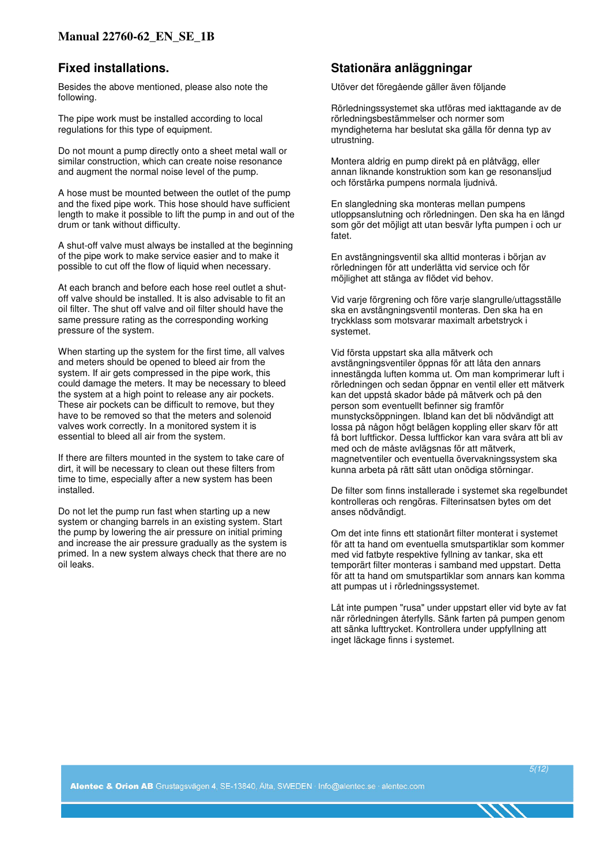#### **Fixed installations.**

Besides the above mentioned, please also note the following.

The pipe work must be installed according to local regulations for this type of equipment.

Do not mount a pump directly onto a sheet metal wall or similar construction, which can create noise resonance and augment the normal noise level of the pump.

A hose must be mounted between the outlet of the pump and the fixed pipe work. This hose should have sufficient length to make it possible to lift the pump in and out of the drum or tank without difficulty.

A shut-off valve must always be installed at the beginning of the pipe work to make service easier and to make it possible to cut off the flow of liquid when necessary.

At each branch and before each hose reel outlet a shutoff valve should be installed. It is also advisable to fit an oil filter. The shut off valve and oil filter should have the same pressure rating as the corresponding working pressure of the system.

When starting up the system for the first time, all valves and meters should be opened to bleed air from the system. If air gets compressed in the pipe work, this could damage the meters. It may be necessary to bleed the system at a high point to release any air pockets. These air pockets can be difficult to remove, but they have to be removed so that the meters and solenoid valves work correctly. In a monitored system it is essential to bleed all air from the system.

If there are filters mounted in the system to take care of dirt, it will be necessary to clean out these filters from time to time, especially after a new system has been installed.

Do not let the pump run fast when starting up a new system or changing barrels in an existing system. Start the pump by lowering the air pressure on initial priming and increase the air pressure gradually as the system is primed. In a new system always check that there are no oil leaks.

### **Stationära anläggningar**

Utöver det föregående gäller även följande

Rörledningssystemet ska utföras med iakttagande av de rörledningsbestämmelser och normer som myndigheterna har beslutat ska gälla för denna typ av utrustning.

Montera aldrig en pump direkt på en plåtvägg, eller annan liknande konstruktion som kan ge resonansljud och förstärka pumpens normala ljudnivå.

En slangledning ska monteras mellan pumpens utloppsanslutning och rörledningen. Den ska ha en längd som gör det möjligt att utan besvär lyfta pumpen i och ur fatet.

En avstängningsventil ska alltid monteras i början av rörledningen för att underlätta vid service och för möjlighet att stänga av flödet vid behov.

Vid varje förgrening och före varje slangrulle/uttagsställe ska en avstängningsventil monteras. Den ska ha en tryckklass som motsvarar maximalt arbetstryck i systemet.

Vid första uppstart ska alla mätverk och avstängningsventiler öppnas för att låta den annars innestängda luften komma ut. Om man komprimerar luft i rörledningen och sedan öppnar en ventil eller ett mätverk kan det uppstå skador både på mätverk och på den person som eventuellt befinner sig framför munstycksöppningen. Ibland kan det bli nödvändigt att lossa på någon högt belägen koppling eller skarv för att få bort luftfickor. Dessa luftfickor kan vara svåra att bli av med och de måste avlägsnas för att mätverk, magnetventiler och eventuella övervakningssystem ska kunna arbeta på rätt sätt utan onödiga störningar.

De filter som finns installerade i systemet ska regelbundet kontrolleras och rengöras. Filterinsatsen bytes om det anses nödvändigt.

Om det inte finns ett stationärt filter monterat i systemet för att ta hand om eventuella smutspartiklar som kommer med vid fatbyte respektive fyllning av tankar, ska ett temporärt filter monteras i samband med uppstart. Detta för att ta hand om smutspartiklar som annars kan komma att pumpas ut i rörledningssystemet.

Låt inte pumpen "rusa" under uppstart eller vid byte av fat när rörledningen återfylls. Sänk farten på pumpen genom att sänka lufttrycket. Kontrollera under uppfyllning att inget läckage finns i systemet.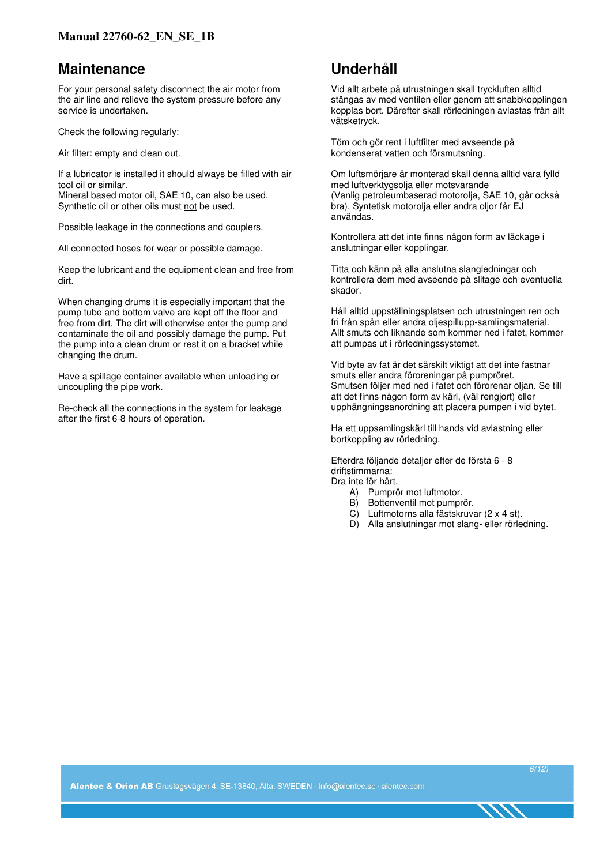## **Maintenance**

For your personal safety disconnect the air motor from the air line and relieve the system pressure before any service is undertaken.

Check the following regularly:

Air filter: empty and clean out.

If a lubricator is installed it should always be filled with air tool oil or similar.

Mineral based motor oil, SAE 10, can also be used. Synthetic oil or other oils must not be used.

Possible leakage in the connections and couplers.

All connected hoses for wear or possible damage.

Keep the lubricant and the equipment clean and free from dirt.

When changing drums it is especially important that the pump tube and bottom valve are kept off the floor and free from dirt. The dirt will otherwise enter the pump and contaminate the oil and possibly damage the pump. Put the pump into a clean drum or rest it on a bracket while changing the drum.

Have a spillage container available when unloading or uncoupling the pipe work.

Re-check all the connections in the system for leakage after the first 6-8 hours of operation.

## **Underhåll**

Vid allt arbete på utrustningen skall tryckluften alltid stängas av med ventilen eller genom att snabbkopplingen kopplas bort. Därefter skall rörledningen avlastas från allt vätsketryck.

Töm och gör rent i luftfilter med avseende på kondenserat vatten och försmutsning.

Om luftsmörjare är monterad skall denna alltid vara fylld med luftverktygsolja eller motsvarande (Vanlig petroleumbaserad motorolja, SAE 10, går också bra). Syntetisk motorolja eller andra oljor får EJ användas.

Kontrollera att det inte finns någon form av läckage i anslutningar eller kopplingar.

Titta och känn på alla anslutna slangledningar och kontrollera dem med avseende på slitage och eventuella skador.

Håll alltid uppställningsplatsen och utrustningen ren och fri från spån eller andra oljespillupp-samlingsmaterial. Allt smuts och liknande som kommer ned i fatet, kommer att pumpas ut i rörledningssystemet.

Vid byte av fat är det särskilt viktigt att det inte fastnar smuts eller andra föroreningar på pumpröret. Smutsen följer med ned i fatet och förorenar oljan. Se till att det finns någon form av kärl, (väl rengjort) eller upphängningsanordning att placera pumpen i vid bytet.

Ha ett uppsamlingskärl till hands vid avlastning eller bortkoppling av rörledning.

Efterdra följande detaljer efter de första 6 - 8 driftstimmarna:

Dra inte för hårt.

- A) Pumprör mot luftmotor.
- B) Bottenventil mot pumprör.
- C) Luftmotorns alla fästskruvar (2 x 4 st).
- D) Alla anslutningar mot slang- eller rörledning.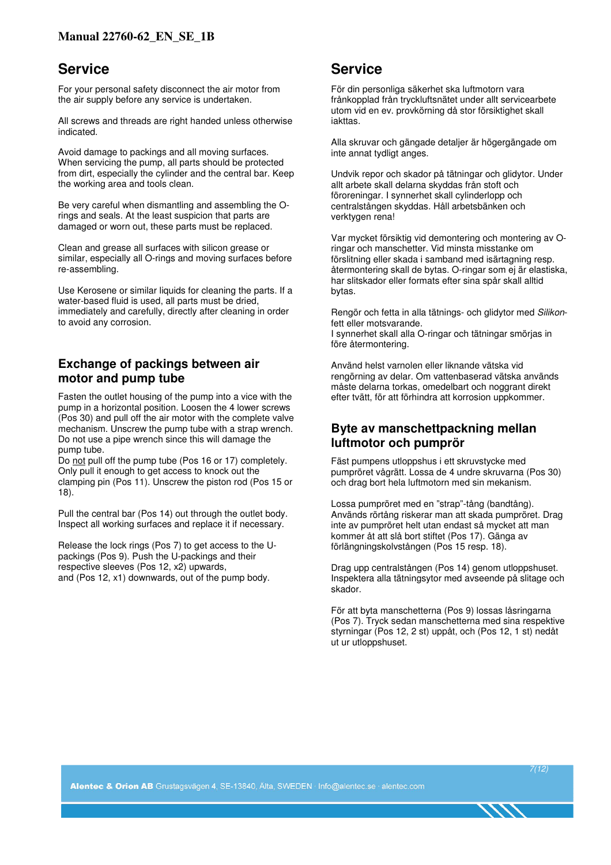## **Service**

For your personal safety disconnect the air motor from the air supply before any service is undertaken.

All screws and threads are right handed unless otherwise indicated.

Avoid damage to packings and all moving surfaces. When servicing the pump, all parts should be protected from dirt, especially the cylinder and the central bar. Keep the working area and tools clean.

Be very careful when dismantling and assembling the Orings and seals. At the least suspicion that parts are damaged or worn out, these parts must be replaced.

Clean and grease all surfaces with silicon grease or similar, especially all O-rings and moving surfaces before re-assembling.

Use Kerosene or similar liquids for cleaning the parts. If a water-based fluid is used, all parts must be dried, immediately and carefully, directly after cleaning in order to avoid any corrosion.

### **Exchange of packings between air motor and pump tube**

Fasten the outlet housing of the pump into a vice with the pump in a horizontal position. Loosen the 4 lower screws (Pos 30) and pull off the air motor with the complete valve mechanism. Unscrew the pump tube with a strap wrench. Do not use a pipe wrench since this will damage the pump tube.

Do not pull off the pump tube (Pos 16 or 17) completely. Only pull it enough to get access to knock out the clamping pin (Pos 11). Unscrew the piston rod (Pos 15 or 18).

Pull the central bar (Pos 14) out through the outlet body. Inspect all working surfaces and replace it if necessary.

Release the lock rings (Pos 7) to get access to the Upackings (Pos 9). Push the U-packings and their respective sleeves (Pos 12, x2) upwards, and (Pos 12, x1) downwards, out of the pump body.

## **Service**

För din personliga säkerhet ska luftmotorn vara frånkopplad från tryckluftsnätet under allt servicearbete utom vid en ev. provkörning då stor försiktighet skall iakttas.

Alla skruvar och gängade detaljer är högergängade om inte annat tydligt anges.

Undvik repor och skador på tätningar och glidytor. Under allt arbete skall delarna skyddas från stoft och föroreningar. I synnerhet skall cylinderlopp och centralstången skyddas. Håll arbetsbänken och verktygen rena!

Var mycket försiktig vid demontering och montering av Oringar och manschetter. Vid minsta misstanke om förslitning eller skada i samband med isärtagning resp. återmontering skall de bytas. O-ringar som ej är elastiska, har slitskador eller formats efter sina spår skall alltid bytas.

Rengör och fetta in alla tätnings- och glidytor med Silikonfett eller motsvarande. I synnerhet skall alla O-ringar och tätningar smörjas in

före återmontering.

Använd helst varnolen eller liknande vätska vid rengörning av delar. Om vattenbaserad vätska används måste delarna torkas, omedelbart och noggrant direkt efter tvätt, för att förhindra att korrosion uppkommer.

### **Byte av manschettpackning mellan luftmotor och pumprör**

Fäst pumpens utloppshus i ett skruvstycke med pumpröret vågrätt. Lossa de 4 undre skruvarna (Pos 30) och drag bort hela luftmotorn med sin mekanism.

Lossa pumpröret med en "strap"-tång (bandtång). Används rörtång riskerar man att skada pumpröret. Drag inte av pumpröret helt utan endast så mycket att man kommer åt att slå bort stiftet (Pos 17). Gänga av förlängningskolvstången (Pos 15 resp. 18).

Drag upp centralstången (Pos 14) genom utloppshuset. Inspektera alla tätningsytor med avseende på slitage och skador.

För att byta manschetterna (Pos 9) lossas låsringarna (Pos 7). Tryck sedan manschetterna med sina respektive styrningar (Pos 12, 2 st) uppåt, och (Pos 12, 1 st) nedåt ut ur utloppshuset.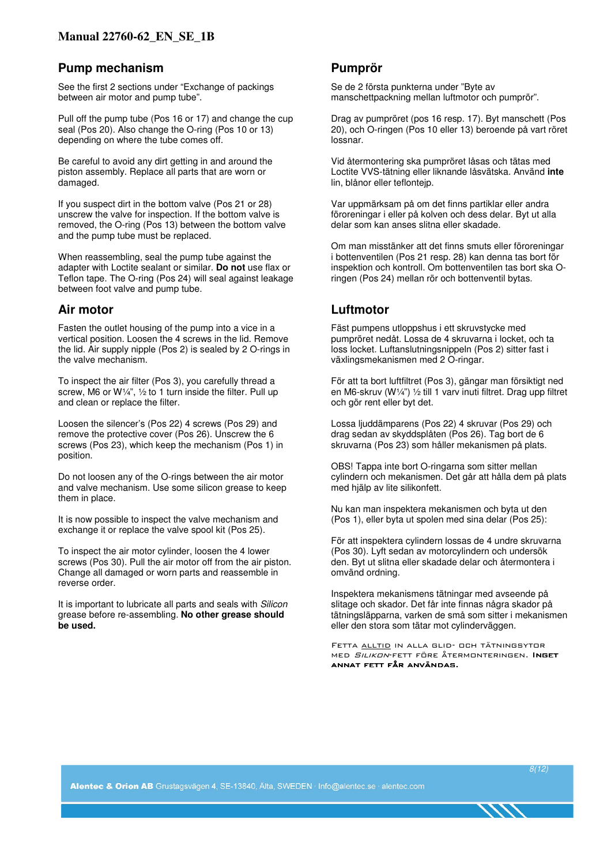### **Pump mechanism**

See the first 2 sections under "Exchange of packings between air motor and pump tube".

Pull off the pump tube (Pos 16 or 17) and change the cup seal (Pos 20). Also change the O-ring (Pos 10 or 13) depending on where the tube comes off.

Be careful to avoid any dirt getting in and around the piston assembly. Replace all parts that are worn or damaged.

If you suspect dirt in the bottom valve (Pos 21 or 28) unscrew the valve for inspection. If the bottom valve is removed, the O-ring (Pos 13) between the bottom valve and the pump tube must be replaced.

When reassembling, seal the pump tube against the adapter with Loctite sealant or similar. **Do not** use flax or Teflon tape. The O-ring (Pos 24) will seal against leakage between foot valve and pump tube.

### **Air motor**

Fasten the outlet housing of the pump into a vice in a vertical position. Loosen the 4 screws in the lid. Remove the lid. Air supply nipple (Pos 2) is sealed by 2 O-rings in the valve mechanism.

To inspect the air filter (Pos 3), you carefully thread a screw, M6 or W $\frac{1}{4}$ ,  $\frac{1}{2}$  to 1 turn inside the filter. Pull up and clean or replace the filter.

Loosen the silencer's (Pos 22) 4 screws (Pos 29) and remove the protective cover (Pos 26). Unscrew the 6 screws (Pos 23), which keep the mechanism (Pos 1) in position.

Do not loosen any of the O-rings between the air motor and valve mechanism. Use some silicon grease to keep them in place.

It is now possible to inspect the valve mechanism and exchange it or replace the valve spool kit (Pos 25).

To inspect the air motor cylinder, loosen the 4 lower screws (Pos 30). Pull the air motor off from the air piston. Change all damaged or worn parts and reassemble in reverse order.

It is important to lubricate all parts and seals with Silicon grease before re-assembling. **No other grease should be used.** 

#### **Pumprör**

Se de 2 första punkterna under "Byte av manschettpackning mellan luftmotor och pumprör".

Drag av pumpröret (pos 16 resp. 17). Byt manschett (Pos 20), och O-ringen (Pos 10 eller 13) beroende på vart röret lossnar.

Vid återmontering ska pumpröret låsas och tätas med Loctite VVS-tätning eller liknande låsvätska. Använd **inte** lin, blånor eller teflontejp.

Var uppmärksam på om det finns partiklar eller andra föroreningar i eller på kolven och dess delar. Byt ut alla delar som kan anses slitna eller skadade.

Om man misstänker att det finns smuts eller föroreningar i bottenventilen (Pos 21 resp. 28) kan denna tas bort för inspektion och kontroll. Om bottenventilen tas bort ska Oringen (Pos 24) mellan rör och bottenventil bytas.

## **Luftmotor**

Fäst pumpens utloppshus i ett skruvstycke med pumpröret nedåt. Lossa de 4 skruvarna i locket, och ta loss locket. Luftanslutningsnippeln (Pos 2) sitter fast i växlingsmekanismen med 2 O-ringar.

För att ta bort luftfiltret (Pos 3), gängar man försiktigt ned en M6-skruv (W¼") ½ till 1 varv inuti filtret. Drag upp filtret och gör rent eller byt det.

Lossa ljuddämparens (Pos 22) 4 skruvar (Pos 29) och drag sedan av skyddsplåten (Pos 26). Tag bort de 6 skruvarna (Pos 23) som håller mekanismen på plats.

OBS! Tappa inte bort O-ringarna som sitter mellan cylindern och mekanismen. Det går att hålla dem på plats med hjälp av lite silikonfett.

Nu kan man inspektera mekanismen och byta ut den (Pos 1), eller byta ut spolen med sina delar (Pos 25):

För att inspektera cylindern lossas de 4 undre skruvarna (Pos 30). Lyft sedan av motorcylindern och undersök den. Byt ut slitna eller skadade delar och återmontera i omvänd ordning.

Inspektera mekanismens tätningar med avseende på slitage och skador. Det får inte finnas några skador på tätningsläpparna, varken de små som sitter i mekanismen eller den stora som tätar mot cylinderväggen.

Fetta alltid in alla glid- och tätningsytor med Silikon-fett före återmonteringen. Inget annat fett får användas.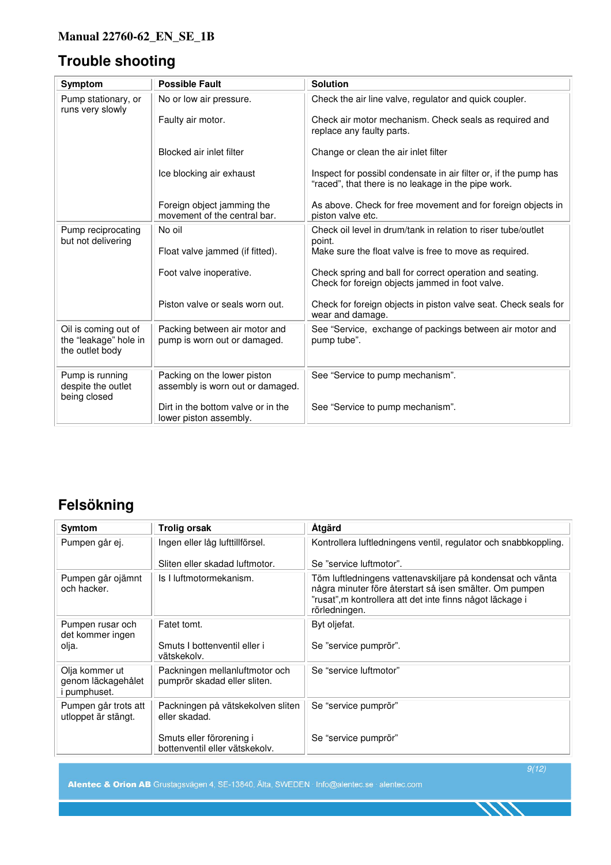# **Trouble shooting**

| Symptom                                                          | <b>Possible Fault</b>                                           | <b>Solution</b>                                                                                                         |
|------------------------------------------------------------------|-----------------------------------------------------------------|-------------------------------------------------------------------------------------------------------------------------|
| Pump stationary, or<br>runs very slowly                          | No or low air pressure.                                         | Check the air line valve, regulator and quick coupler.                                                                  |
|                                                                  | Faulty air motor.                                               | Check air motor mechanism. Check seals as required and<br>replace any faulty parts.                                     |
|                                                                  | Blocked air inlet filter                                        | Change or clean the air inlet filter                                                                                    |
|                                                                  | Ice blocking air exhaust                                        | Inspect for possibl condensate in air filter or, if the pump has<br>"raced", that there is no leakage in the pipe work. |
|                                                                  | Foreign object jamming the<br>movement of the central bar.      | As above. Check for free movement and for foreign objects in<br>piston valve etc.                                       |
| Pump reciprocating<br>but not delivering                         | No oil                                                          | Check oil level in drum/tank in relation to riser tube/outlet<br>point.                                                 |
|                                                                  | Float valve jammed (if fitted).                                 | Make sure the float valve is free to move as required.                                                                  |
|                                                                  | Foot valve inoperative.                                         | Check spring and ball for correct operation and seating.<br>Check for foreign objects jammed in foot valve.             |
|                                                                  | Piston valve or seals worn out.                                 | Check for foreign objects in piston valve seat. Check seals for<br>wear and damage.                                     |
| Oil is coming out of<br>the "leakage" hole in<br>the outlet body | Packing between air motor and<br>pump is worn out or damaged.   | See "Service, exchange of packings between air motor and<br>pump tube".                                                 |
| Pump is running<br>despite the outlet<br>being closed            | Packing on the lower piston<br>assembly is worn out or damaged. | See "Service to pump mechanism".                                                                                        |
|                                                                  | Dirt in the bottom valve or in the<br>lower piston assembly.    | See "Service to pump mechanism".                                                                                        |

# **Felsökning**

| Symtom                                                      | <b>Trolig orsak</b>                                            | <b>Atgärd</b>                                                                                                                                                                                       |
|-------------------------------------------------------------|----------------------------------------------------------------|-----------------------------------------------------------------------------------------------------------------------------------------------------------------------------------------------------|
| Pumpen går ej.                                              | Ingen eller låg lufttillförsel.                                | Kontrollera luftledningens ventil, regulator och snabbkoppling.                                                                                                                                     |
|                                                             | Sliten eller skadad luftmotor.                                 | Se "service luftmotor".                                                                                                                                                                             |
| Pumpen går ojämnt<br>och hacker.                            | Is I luftmotormekanism.                                        | Töm luftledningens vattenavskiljare på kondensat och vänta<br>några minuter före återstart så isen smälter. Om pumpen<br>"rusat", m kontrollera att det inte finns något läckage i<br>rörledningen. |
| Pumpen rusar och<br>det kommer ingen                        | Fatet tomt.                                                    | Byt oljefat.                                                                                                                                                                                        |
| olja.                                                       | Smuts I bottenventil eller i<br>vätskekolv.                    | Se "service pumprör".                                                                                                                                                                               |
| Olja kommer ut<br>genom läckagehålet<br><i>i</i> pumphuset. | Packningen mellanluftmotor och<br>pumprör skadad eller sliten. | Se "service luftmotor"                                                                                                                                                                              |
| Pumpen går trots att<br>utloppet är stängt.                 | Packningen på vätskekolven sliten<br>eller skadad.             | Se "service pumprör"                                                                                                                                                                                |
|                                                             | Smuts eller förorening i<br>bottenventil eller vätskekolv.     | Se "service pumprör"                                                                                                                                                                                |

Alentec & Orion AB Grustagsvägen 4, SE-13840, Älta, SWEDEN · Info@alentec.se · alentec.com

9(12)

1111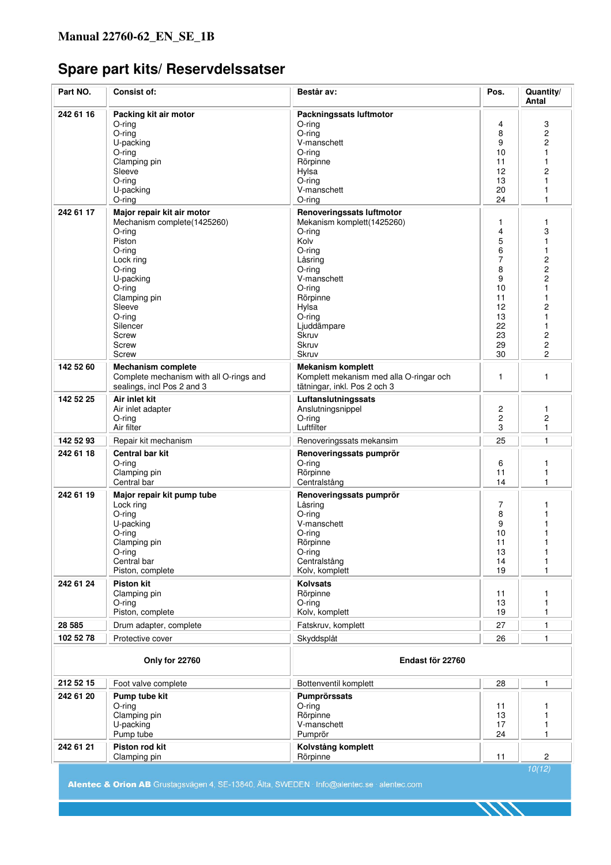# **Spare part kits/ Reservdelssatser**

| Part NO.  | Consist of:                                                                                                                                                                                                               | Består av:                                                                                                                                                                                                       | Pos.                                                                            | Quantity/<br>Antal                                                                                                                                                                   |
|-----------|---------------------------------------------------------------------------------------------------------------------------------------------------------------------------------------------------------------------------|------------------------------------------------------------------------------------------------------------------------------------------------------------------------------------------------------------------|---------------------------------------------------------------------------------|--------------------------------------------------------------------------------------------------------------------------------------------------------------------------------------|
| 242 61 16 | Packing kit air motor<br>O-ring<br>$O$ -ring<br>U-packing<br>$O$ -ring<br>Clamping pin<br>Sleeve<br>$O$ -ring<br>U-packing<br>$O$ -ring                                                                                   | Packningssats luftmotor<br>O-ring<br>$O$ -ring<br>V-manschett<br>O-ring<br>Rörpinne<br>Hylsa<br>$O$ -ring<br>V-manschett<br>$O$ -ring                                                                            | 4<br>8<br>9<br>10<br>11<br>12<br>13<br>20<br>24                                 | 3<br>$\overline{c}$<br>$\overline{c}$<br>1<br>1<br>2<br>1<br>1<br>1                                                                                                                  |
| 242 61 17 | Major repair kit air motor<br>Mechanism complete(1425260)<br>$O$ -ring<br>Piston<br>O-ring<br>Lock ring<br>O-ring<br>U-packing<br>$O$ -ring<br>Clamping pin<br>Sleeve<br>$O$ -ring<br>Silencer<br>Screw<br>Screw<br>Screw | Renoveringssats luftmotor<br>Mekanism komplett(1425260)<br>$O$ -ring<br>Kolv<br>O-ring<br>Låsring<br>O-ring<br>V-manschett<br>O-ring<br>Rörpinne<br>Hylsa<br>$O$ -ring<br>Ljuddämpare<br>Skruv<br>Skruv<br>Skruv | 1<br>4<br>5<br>6<br>7<br>8<br>9<br>10<br>11<br>12<br>13<br>22<br>23<br>29<br>30 | 1<br>3<br>1<br>1<br>$\overline{\mathbf{c}}$<br>$\overline{c}$<br>$\overline{c}$<br>1<br>1<br>2<br>$\mathbf{1}$<br>1<br>$\overline{\mathbf{c}}$<br>$\boldsymbol{2}$<br>$\overline{2}$ |
| 142 52 60 | <b>Mechanism complete</b><br>Complete mechanism with all O-rings and<br>sealings, incl Pos 2 and 3                                                                                                                        | <b>Mekanism komplett</b><br>Komplett mekanism med alla O-ringar och<br>tätningar, inkl. Pos 2 och 3                                                                                                              | 1                                                                               | 1                                                                                                                                                                                    |
| 142 52 25 | Air inlet kit<br>Air inlet adapter<br>O-ring<br>Air filter                                                                                                                                                                | Luftanslutningssats<br>Anslutningsnippel<br>O-ring<br>Luftfilter                                                                                                                                                 | 2<br>2<br>3                                                                     | 1<br>2<br>1                                                                                                                                                                          |
| 142 52 93 | Repair kit mechanism                                                                                                                                                                                                      | Renoveringssats mekansim                                                                                                                                                                                         | 25                                                                              | 1                                                                                                                                                                                    |
| 242 61 18 | Central bar kit<br>$O$ -ring<br>Clamping pin<br>Central bar                                                                                                                                                               | Renoveringssats pumprör<br>$O$ -ring<br>Rörpinne<br>Centralstång                                                                                                                                                 | 6<br>11<br>14                                                                   | 1<br>1<br>1                                                                                                                                                                          |
| 242 61 19 | Major repair kit pump tube<br>Lock ring<br>$O$ -ring<br>U-packing<br>$O$ -ring<br>Clamping pin<br>O-ring<br>Central bar<br>Piston, complete                                                                               | Renoveringssats pumprör<br>Låsring<br>$O$ -ring<br>V-manschett<br>$O$ -ring<br>Rörpinne<br>O-ring<br>Centralstång<br>Kolv, komplett                                                                              | 7<br>8<br>9<br>10<br>11<br>13<br>14<br>19                                       | 1<br>1<br>1<br>1<br>1<br>1<br>1                                                                                                                                                      |
| 242 61 24 | <b>Piston kit</b><br>Clamping pin<br>$O$ -ring<br>Piston, complete                                                                                                                                                        | Kolvsats<br>Rörpinne<br>O-ring<br>Kolv, komplett                                                                                                                                                                 | 11<br>13<br>19                                                                  | 1<br>1<br>1                                                                                                                                                                          |
| 28 5 85   | Drum adapter, complete                                                                                                                                                                                                    | Fatskruv, komplett                                                                                                                                                                                               | 27                                                                              | 1                                                                                                                                                                                    |
| 102 52 78 | Protective cover                                                                                                                                                                                                          | Skyddsplåt                                                                                                                                                                                                       | 26                                                                              | 1                                                                                                                                                                                    |
|           | Only for 22760<br>Endast för 22760                                                                                                                                                                                        |                                                                                                                                                                                                                  |                                                                                 |                                                                                                                                                                                      |
| 212 52 15 | Foot valve complete                                                                                                                                                                                                       | Bottenventil komplett                                                                                                                                                                                            | 28                                                                              | $\mathbf{1}$                                                                                                                                                                         |
| 242 61 20 | Pump tube kit<br>$O$ -ring<br>Clamping pin<br>U-packing<br>Pump tube                                                                                                                                                      | Pumprörssats<br>$O$ -ring<br>Rörpinne<br>V-manschett<br>Pumprör                                                                                                                                                  | 11<br>13<br>17<br>24                                                            | 1<br>1                                                                                                                                                                               |
| 242 61 21 | Piston rod kit<br>Clamping pin                                                                                                                                                                                            | Kolvstång komplett<br>Rörpinne                                                                                                                                                                                   | 11                                                                              | 2                                                                                                                                                                                    |
|           |                                                                                                                                                                                                                           |                                                                                                                                                                                                                  |                                                                                 | 10(12)                                                                                                                                                                               |

Alentec & Orion AB Grustagsvägen 4, SE-13840, Älta, SWEDEN · Info@alentec.se · alentec.com

1111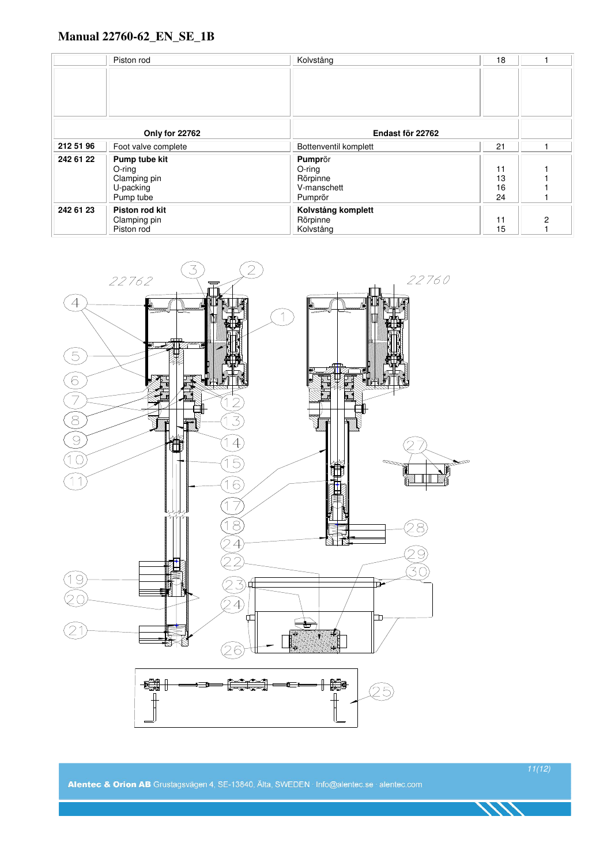|                | Piston rod          | Kolvstång             | 18 |   |
|----------------|---------------------|-----------------------|----|---|
|                |                     |                       |    |   |
|                |                     |                       |    |   |
|                |                     |                       |    |   |
|                |                     |                       |    |   |
|                |                     |                       |    |   |
| Only for 22762 |                     | Endast för 22762      |    |   |
| 212 51 96      | Foot valve complete | Bottenventil komplett | 21 |   |
| 242 61 22      | Pump tube kit       | Pumprör               |    |   |
|                | $O$ -ring           | $O$ -ring             | 11 |   |
|                | Clamping pin        | Rörpinne              | 13 |   |
|                | U-packing           | V-manschett           | 16 |   |
|                | Pump tube           | Pumprör               | 24 |   |
| 242 61 23      | Piston rod kit      | Kolvstång komplett    |    |   |
|                | Clamping pin        | Rörpinne              | 11 | 2 |
|                | Piston rod          | Kolvstång             | 15 |   |



Alentec & Orion AB Grustagsvägen 4, SE-13840, Älta, SWEDEN · Info@alentec.se · alentec.com

11(12)

111